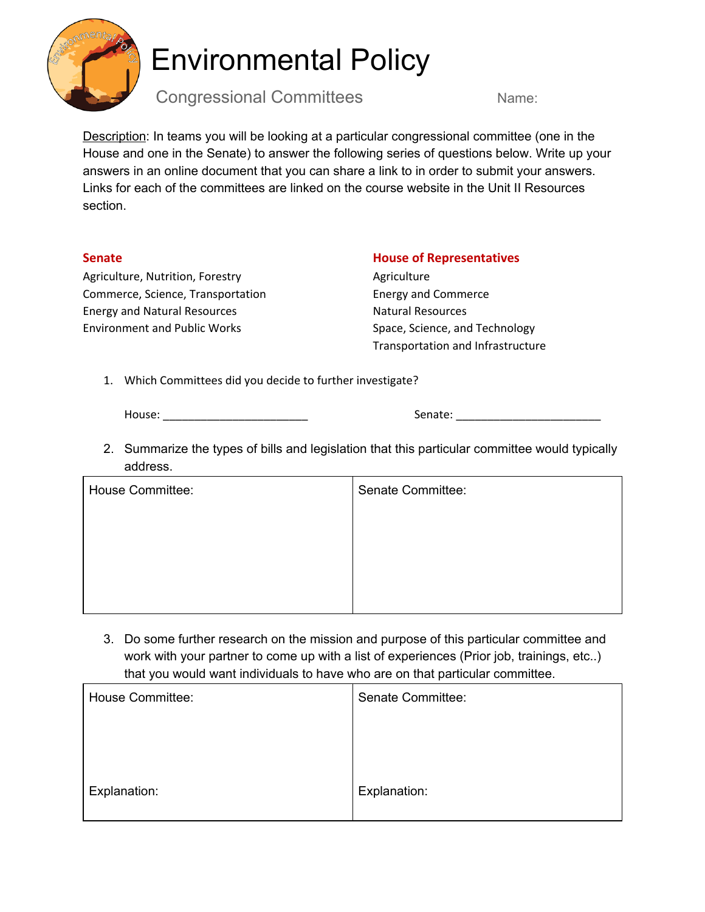

## Environmental Policy

Congressional Committees Name:

Description: In teams you will be looking at a particular congressional committee (one in the House and one in the Senate) to answer the following series of questions below. Write up your answers in an online document that you can share a link to in order to submit your answers. Links for each of the committees are linked on the course website in the Unit II Resources section.

Agriculture, Nutrition, Forestry Agriculture Agriculture Commerce, Science, Transportation Energy and Commerce Energy and Natural Resources Natural Resources Environment and Public Works Space, Science, and Technology

## **Senate House of Representatives**

Transportation and Infrastructure

1. Which Committees did you decide to further investigate?

House: \_\_\_\_\_\_\_\_\_\_\_\_\_\_\_\_\_\_\_\_\_\_\_ Senate: \_\_\_\_\_\_\_\_\_\_\_\_\_\_\_\_\_\_\_\_\_\_\_

2. Summarize the types of bills and legislation that this particular committee would typically address.

| <b>House Committee:</b> | Senate Committee: |
|-------------------------|-------------------|
|                         |                   |
|                         |                   |
|                         |                   |
|                         |                   |

3. Do some further research on the mission and purpose of this particular committee and work with your partner to come up with a list of experiences (Prior job, trainings, etc..) that you would want individuals to have who are on that particular committee.

| <b>House Committee:</b> | Senate Committee: |
|-------------------------|-------------------|
|                         |                   |
|                         |                   |
| Explanation:            | Explanation:      |